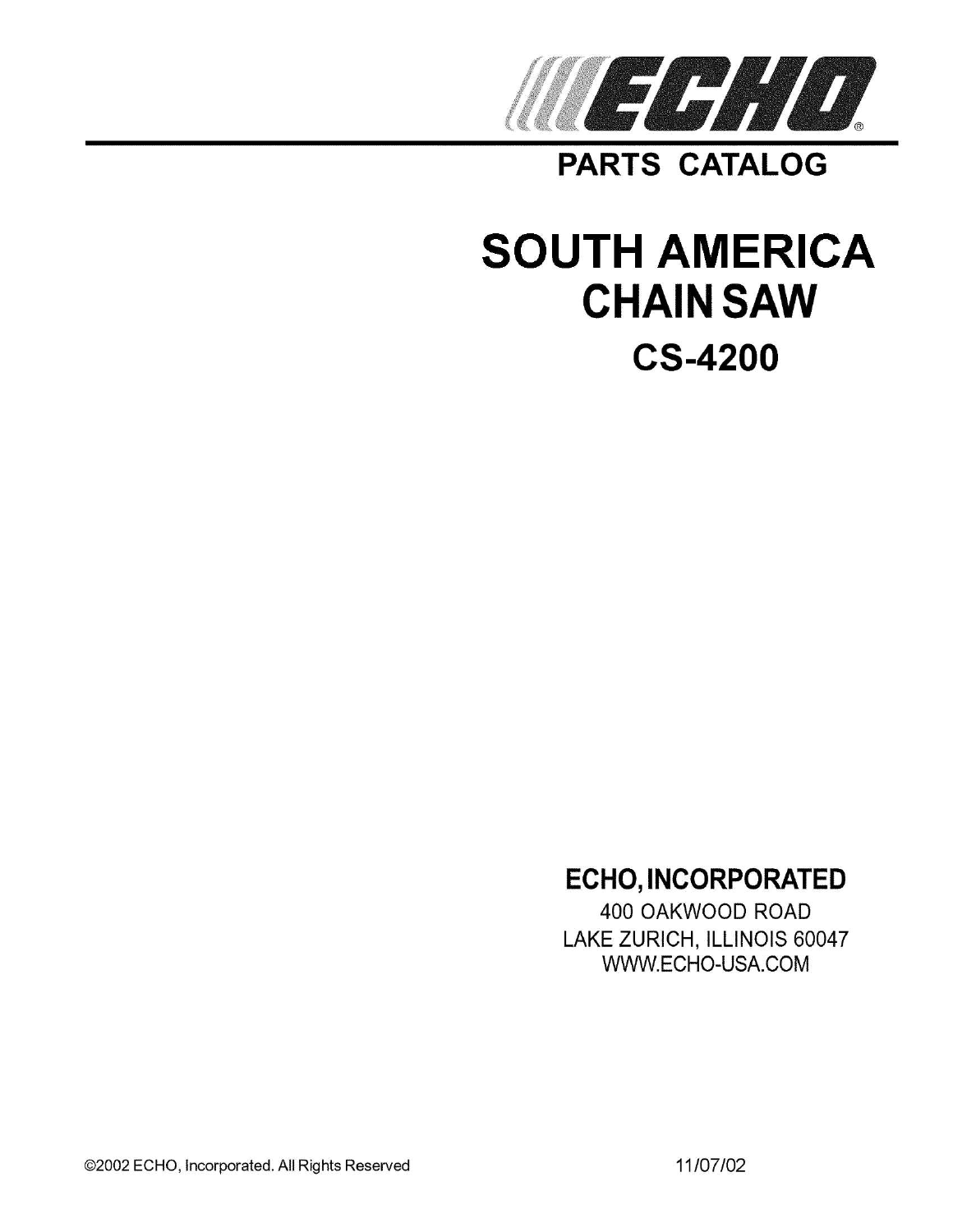

**PARTS CATALOG** 

# **SOUTH AMERICA CHAIN SAW CS-4200**

# **ECHO, INCORPORATED**

400 OAKWOOD ROAD LAKE ZURICH, ILLINOIS 60047 WWW.ECHO-USA.COM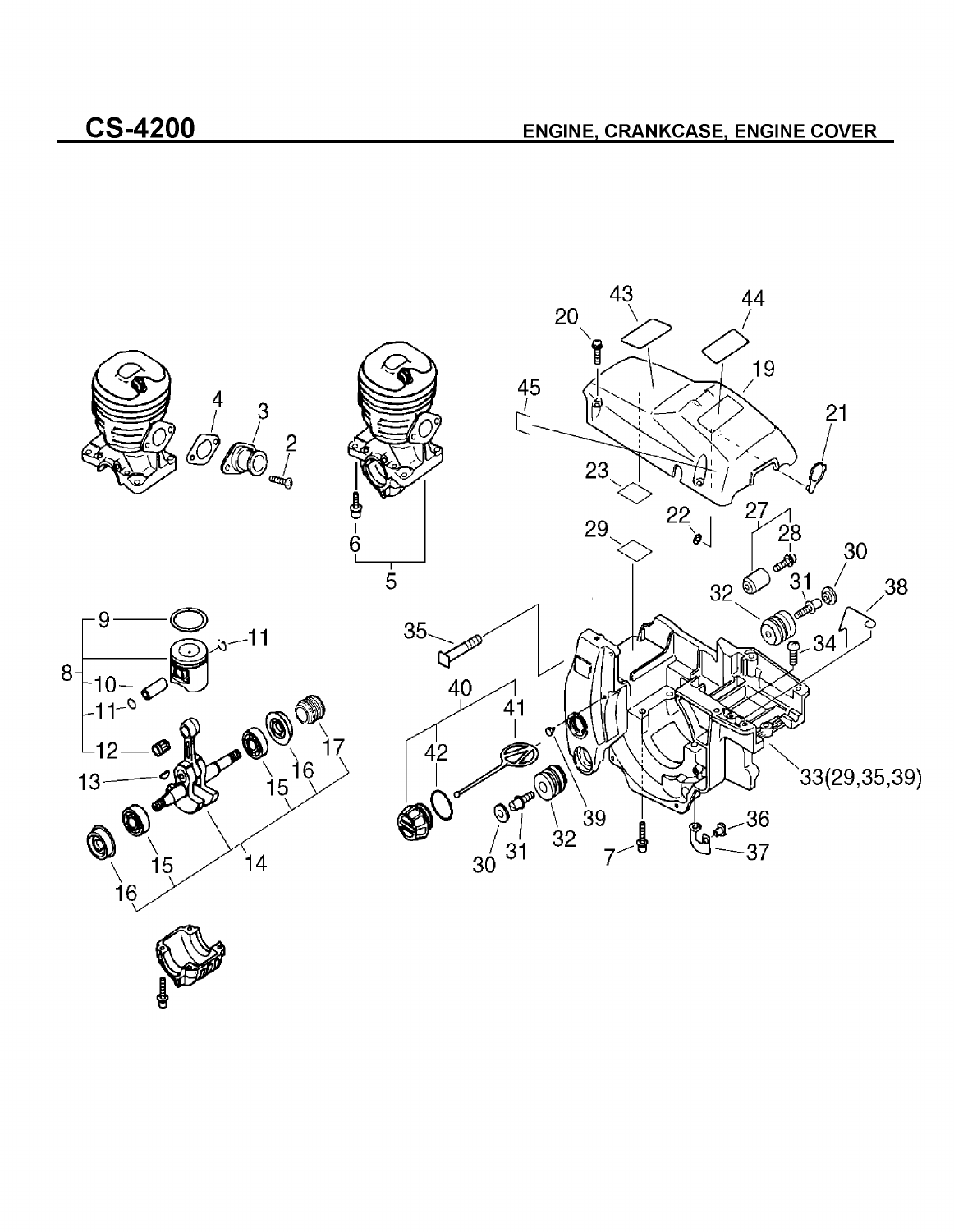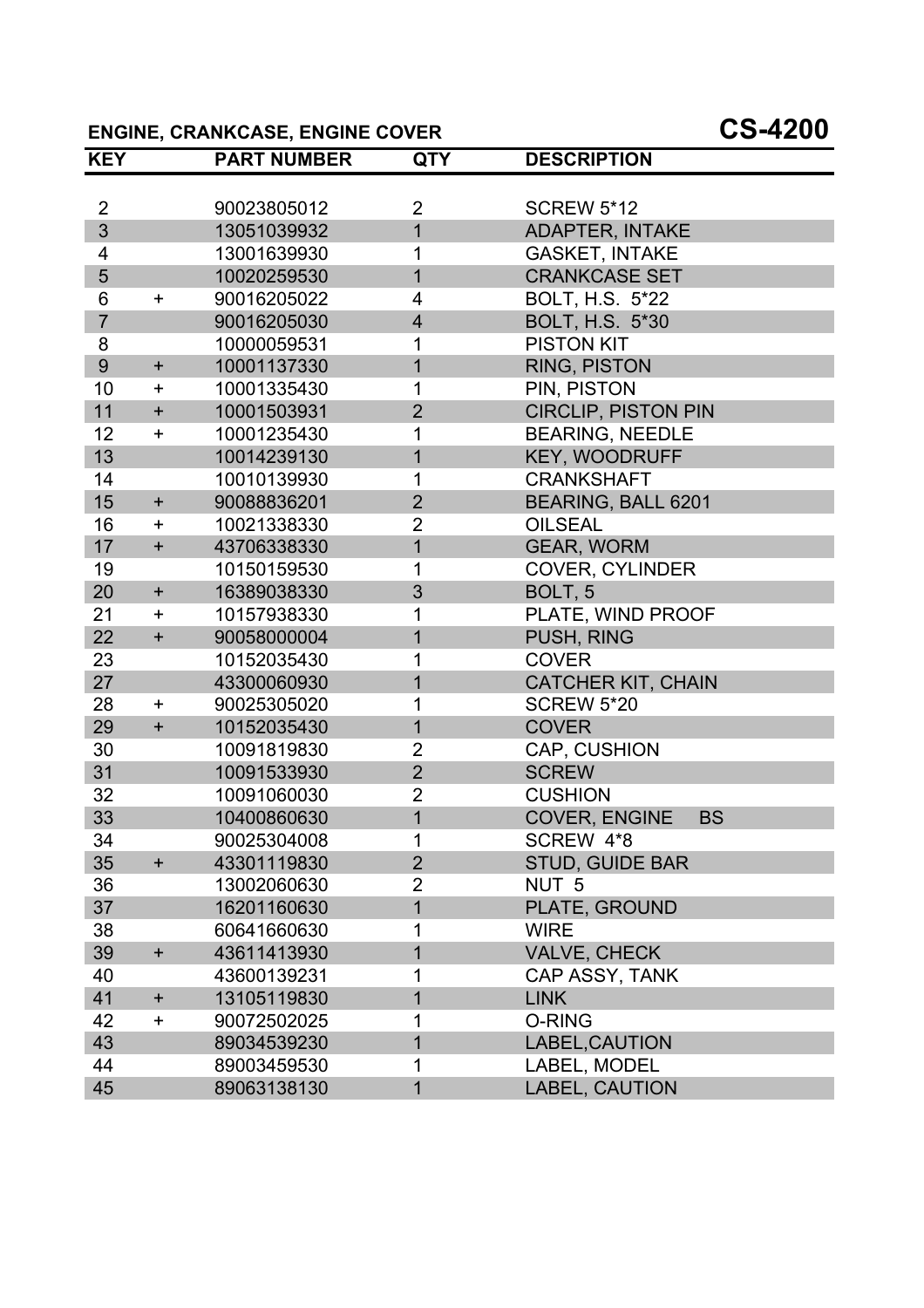### **ENGINE, CRANKCASE, ENGINE COVER CS-4200**

| <b>KEY</b>     |           | <b>PART NUMBER</b> | <b>QTY</b>     | <b>DESCRIPTION</b>         |
|----------------|-----------|--------------------|----------------|----------------------------|
|                |           |                    |                |                            |
| $\overline{2}$ |           | 90023805012        | $\overline{2}$ | <b>SCREW 5*12</b>          |
| 3              |           | 13051039932        | $\overline{1}$ | <b>ADAPTER, INTAKE</b>     |
| 4              |           | 13001639930        | 1              | <b>GASKET, INTAKE</b>      |
| 5              |           | 10020259530        | $\overline{1}$ | <b>CRANKCASE SET</b>       |
| 6              | $\ddot{}$ | 90016205022        | $\overline{4}$ | BOLT, H.S. 5*22            |
| $\overline{7}$ |           | 90016205030        | $\overline{4}$ | BOLT, H.S. 5*30            |
| 8              |           | 10000059531        | 1              | <b>PISTON KIT</b>          |
| 9              | $+$       | 10001137330        | 1              | <b>RING, PISTON</b>        |
| 10             | $\ddag$   | 10001335430        | 1              | PIN, PISTON                |
| 11             | $+$       | 10001503931        | $\overline{2}$ | <b>CIRCLIP, PISTON PIN</b> |
| 12             | $\ddot{}$ | 10001235430        | 1              | <b>BEARING, NEEDLE</b>     |
| 13             |           | 10014239130        | 1              | <b>KEY, WOODRUFF</b>       |
| 14             |           | 10010139930        | 1              | <b>CRANKSHAFT</b>          |
| 15             | $+$       | 90088836201        | $\overline{2}$ | BEARING, BALL 6201         |
| 16             | $\pm$     | 10021338330        | $\overline{2}$ | <b>OILSEAL</b>             |
| 17             | $\ddot{}$ | 43706338330        | $\overline{1}$ | <b>GEAR, WORM</b>          |
| 19             |           | 10150159530        | 1              | <b>COVER, CYLINDER</b>     |
| 20             | $+$       | 16389038330        | 3              | BOLT, 5                    |
| 21             | $\pm$     | 10157938330        | 1              | PLATE, WIND PROOF          |
| 22             | $\ddot{}$ | 90058000004        | 1              | PUSH, RING                 |
| 23             |           | 10152035430        | 1              | <b>COVER</b>               |
| 27             |           | 43300060930        | 1              | <b>CATCHER KIT, CHAIN</b>  |
| 28             | $\pm$     | 90025305020        | 1              | <b>SCREW 5*20</b>          |
| 29             | $\ddot{}$ | 10152035430        | $\overline{1}$ | <b>COVER</b>               |
| 30             |           | 10091819830        | $\overline{2}$ | CAP, CUSHION               |
| 31             |           | 10091533930        | $\overline{2}$ | <b>SCREW</b>               |
| 32             |           | 10091060030        | $\overline{2}$ | <b>CUSHION</b>             |
| 33             |           | 10400860630        | $\overline{1}$ | COVER, ENGINE<br><b>BS</b> |
| 34             |           | 90025304008        | 1              | SCREW 4*8                  |
| 35             | $+$       | 43301119830        | $\overline{2}$ | <b>STUD, GUIDE BAR</b>     |
| 36             |           | 13002060630        | 2              | NUT <sub>5</sub>           |
| 37             |           | 16201160630        | 1              | PLATE, GROUND              |
| 38             |           | 60641660630        | 1              | <b>WIRE</b>                |
| 39             | $+$       | 43611413930        | 1              | VALVE, CHECK               |
| 40             |           | 43600139231        | 1              | CAP ASSY, TANK             |
| 41             | $\ddot{}$ | 13105119830        | 1              | <b>LINK</b>                |
| 42             | $\ddot{}$ | 90072502025        | 1              | O-RING                     |
| 43             |           | 89034539230        | 1              | LABEL, CAUTION             |
| 44             |           | 89003459530        |                | LABEL, MODEL               |
| 45             |           | 89063138130        | 1              | <b>LABEL, CAUTION</b>      |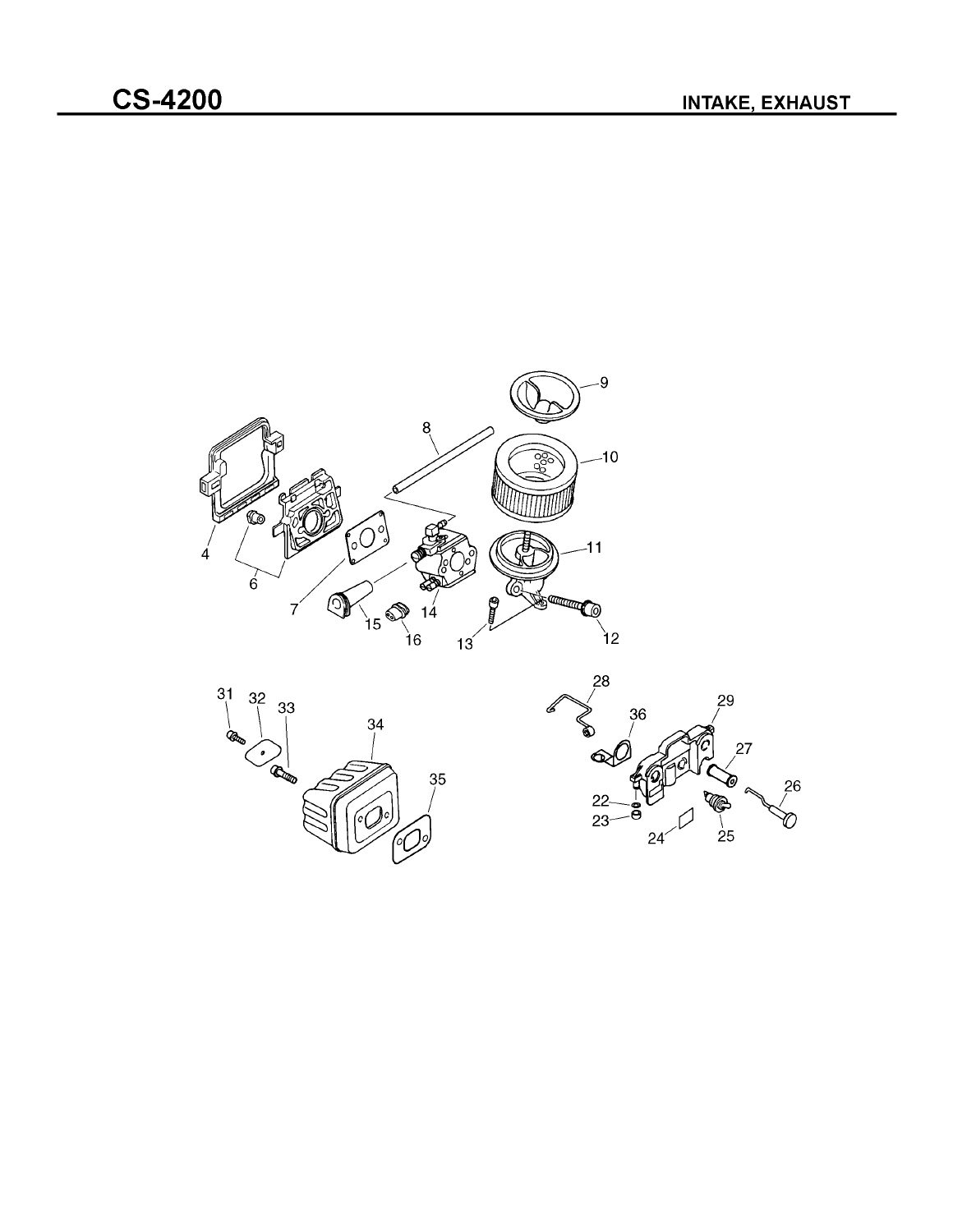



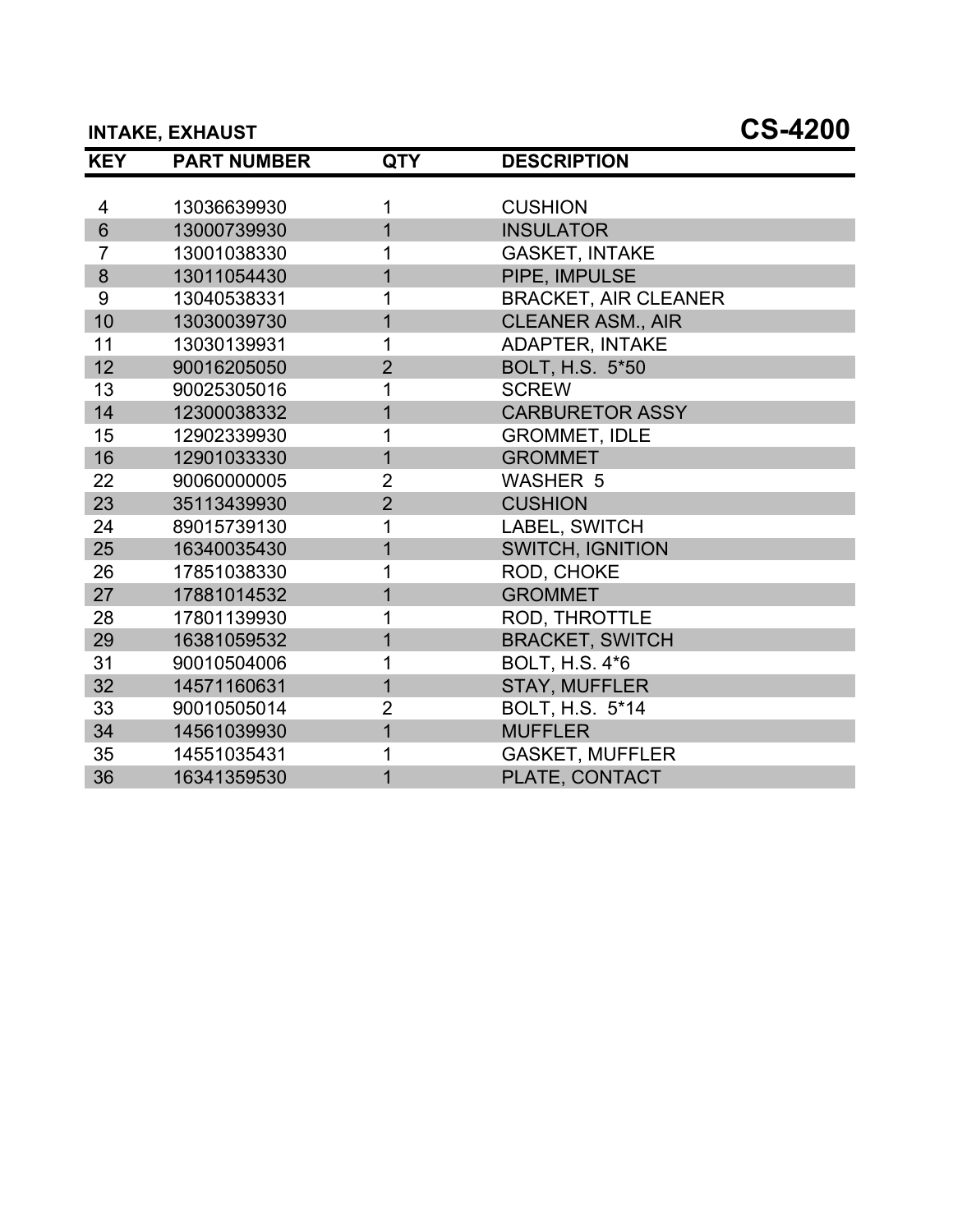# **INTAKE, EXHAUST CS-4200**

| <b>KEY</b>      | <b>PART NUMBER</b> | <b>QTY</b>     | <b>DESCRIPTION</b>          |
|-----------------|--------------------|----------------|-----------------------------|
|                 |                    |                |                             |
| 4               | 13036639930        | 1              | <b>CUSHION</b>              |
| $6\phantom{1}$  | 13000739930        | $\overline{1}$ | <b>INSULATOR</b>            |
| $\overline{7}$  | 13001038330        |                | <b>GASKET, INTAKE</b>       |
| 8               | 13011054430        | $\overline{1}$ | PIPE, IMPULSE               |
| 9               | 13040538331        | 1              | <b>BRACKET, AIR CLEANER</b> |
| 10              | 13030039730        | 1              | <b>CLEANER ASM., AIR</b>    |
| 11              | 13030139931        | 1              | <b>ADAPTER, INTAKE</b>      |
| 12 <sub>2</sub> | 90016205050        | $\overline{2}$ | <b>BOLT, H.S. 5*50</b>      |
| 13              | 90025305016        |                | <b>SCREW</b>                |
| 14              | 12300038332        | $\overline{1}$ | <b>CARBURETOR ASSY</b>      |
| 15              | 12902339930        | 1              | <b>GROMMET, IDLE</b>        |
| 16              | 12901033330        | $\overline{1}$ | <b>GROMMET</b>              |
| 22              | 90060000005        | $\overline{2}$ | <b>WASHER 5</b>             |
| 23              | 35113439930        | $\overline{2}$ | <b>CUSHION</b>              |
| 24              | 89015739130        |                | LABEL, SWITCH               |
| 25              | 16340035430        | 1              | <b>SWITCH, IGNITION</b>     |
| 26              | 17851038330        | 1              | ROD, CHOKE                  |
| 27              | 17881014532        | 1              | <b>GROMMET</b>              |
| 28              | 17801139930        | 1              | ROD, THROTTLE               |
| 29              | 16381059532        | $\overline{1}$ | <b>BRACKET, SWITCH</b>      |
| 31              | 90010504006        |                | <b>BOLT, H.S. 4*6</b>       |
| 32              | 14571160631        | $\overline{1}$ | <b>STAY, MUFFLER</b>        |
| 33              | 90010505014        | $\overline{2}$ | BOLT, H.S. 5*14             |
| 34              | 14561039930        | 1              | <b>MUFFLER</b>              |
| 35              | 14551035431        |                | <b>GASKET, MUFFLER</b>      |
| 36              | 16341359530        | $\overline{1}$ | PLATE, CONTACT              |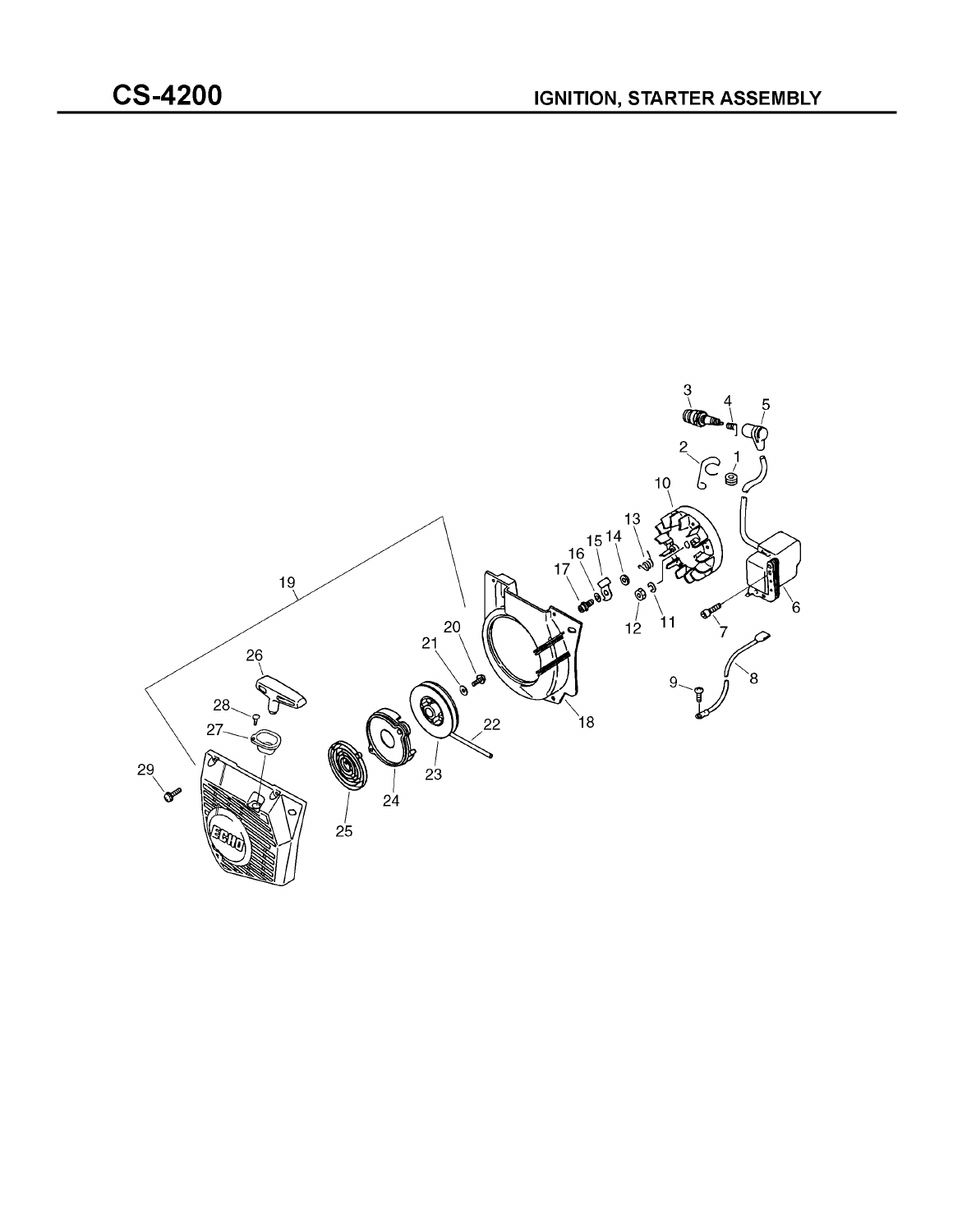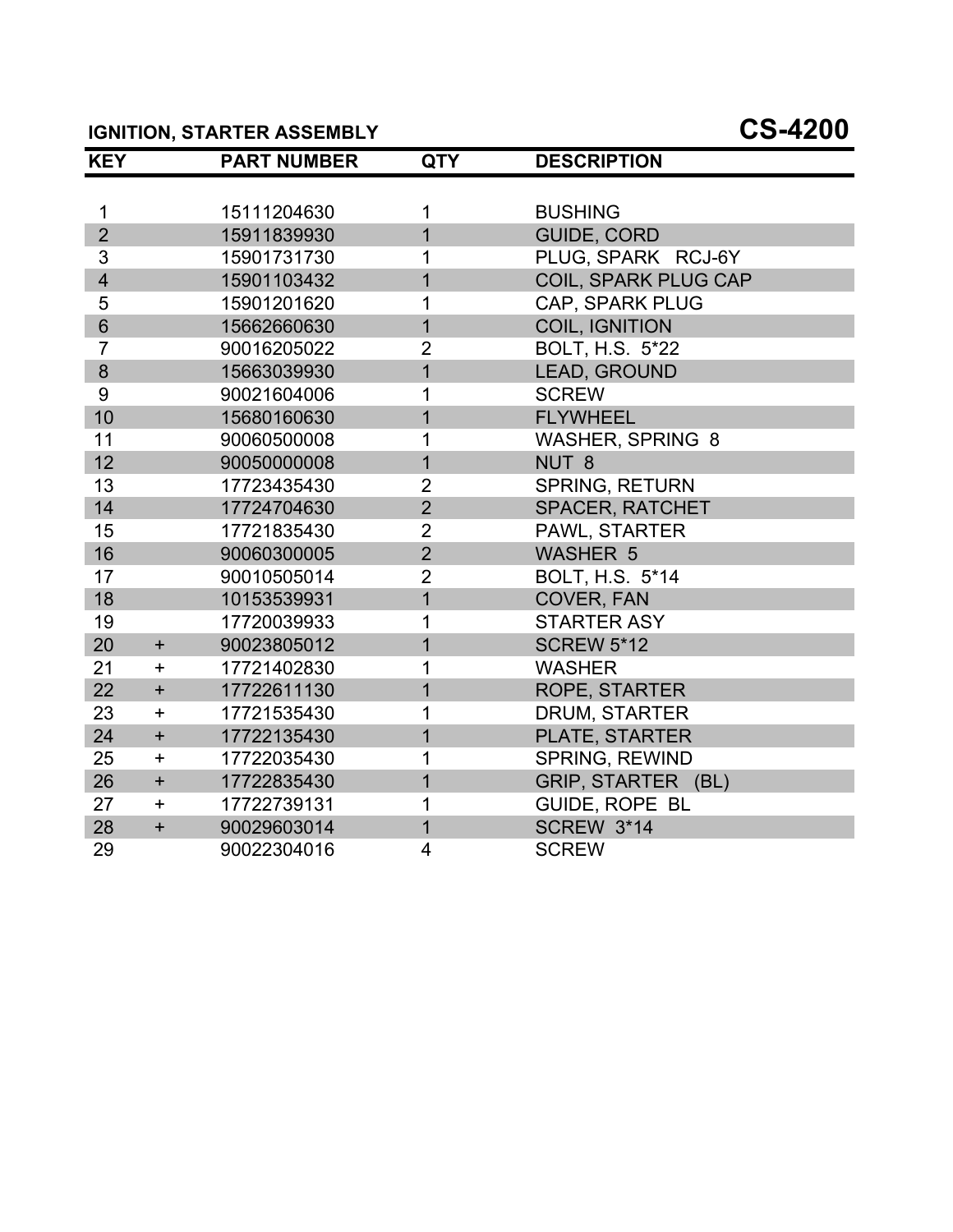# **IGNITION, STARTER ASSEMBLY CS-4200**

| <b>KEY</b>              |                  | <b>PART NUMBER</b> | <b>QTY</b>     | <b>DESCRIPTION</b>      |
|-------------------------|------------------|--------------------|----------------|-------------------------|
|                         |                  |                    |                |                         |
| 1                       |                  | 15111204630        | 1              | <b>BUSHING</b>          |
| $\overline{2}$          |                  | 15911839930        | $\overline{1}$ | <b>GUIDE, CORD</b>      |
| 3                       |                  | 15901731730        | 1              | PLUG, SPARK RCJ-6Y      |
| $\overline{\mathbf{4}}$ |                  | 15901103432        | $\overline{1}$ | COIL, SPARK PLUG CAP    |
| 5                       |                  | 15901201620        | 1              | <b>CAP, SPARK PLUG</b>  |
| $6\phantom{1}$          |                  | 15662660630        | $\overline{1}$ | <b>COIL, IGNITION</b>   |
| $\overline{7}$          |                  | 90016205022        | $\overline{2}$ | BOLT, H.S. 5*22         |
| 8                       |                  | 15663039930        | $\overline{1}$ | LEAD, GROUND            |
| 9                       |                  | 90021604006        |                | <b>SCREW</b>            |
| 10                      |                  | 15680160630        | 1              | <b>FLYWHEEL</b>         |
| 11                      |                  | 90060500008        | 1              | <b>WASHER, SPRING 8</b> |
| 12                      |                  | 90050000008        | $\overline{1}$ | NUT <sub>8</sub>        |
| 13                      |                  | 17723435430        | $\overline{2}$ | <b>SPRING, RETURN</b>   |
| 14                      |                  | 17724704630        | $\overline{2}$ | <b>SPACER, RATCHET</b>  |
| 15                      |                  | 17721835430        | $\overline{2}$ | PAWL, STARTER           |
| 16                      |                  | 90060300005        | $\overline{2}$ | <b>WASHER 5</b>         |
| 17                      |                  | 90010505014        | $\overline{2}$ | BOLT, H.S. 5*14         |
| 18                      |                  | 10153539931        | $\overline{1}$ | <b>COVER, FAN</b>       |
| 19                      |                  | 17720039933        | 1              | <b>STARTER ASY</b>      |
| 20                      | $\ddot{}$        | 90023805012        | $\overline{1}$ | <b>SCREW 5*12</b>       |
| 21                      | $\boldsymbol{+}$ | 17721402830        | 1              | <b>WASHER</b>           |
| 22                      | $+$              | 17722611130        | $\overline{1}$ | <b>ROPE, STARTER</b>    |
| 23                      | $+$              | 17721535430        | 1              | <b>DRUM, STARTER</b>    |
| 24                      | $\ddot{}$        | 17722135430        | $\overline{1}$ | PLATE, STARTER          |
| 25                      | $+$              | 17722035430        | 1              | <b>SPRING, REWIND</b>   |
| 26                      | $\ddot{}$        | 17722835430        | 1              | GRIP, STARTER (BL)      |
| 27                      | $\ddagger$       | 17722739131        | 1              | <b>GUIDE, ROPE BL</b>   |
| 28                      | $\ddot{}$        | 90029603014        | $\overline{1}$ | <b>SCREW 3*14</b>       |
| 29                      |                  | 90022304016        | 4              | <b>SCREW</b>            |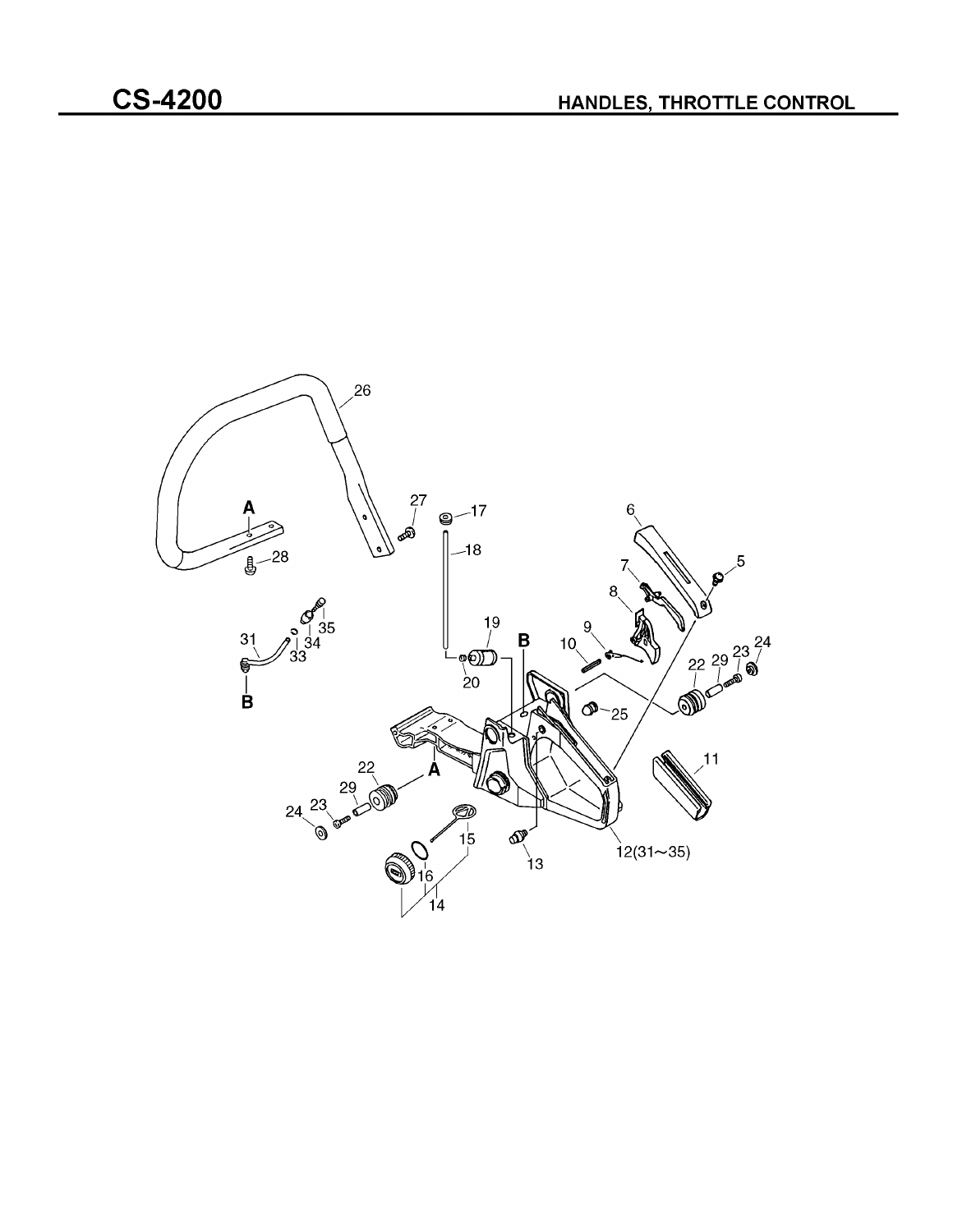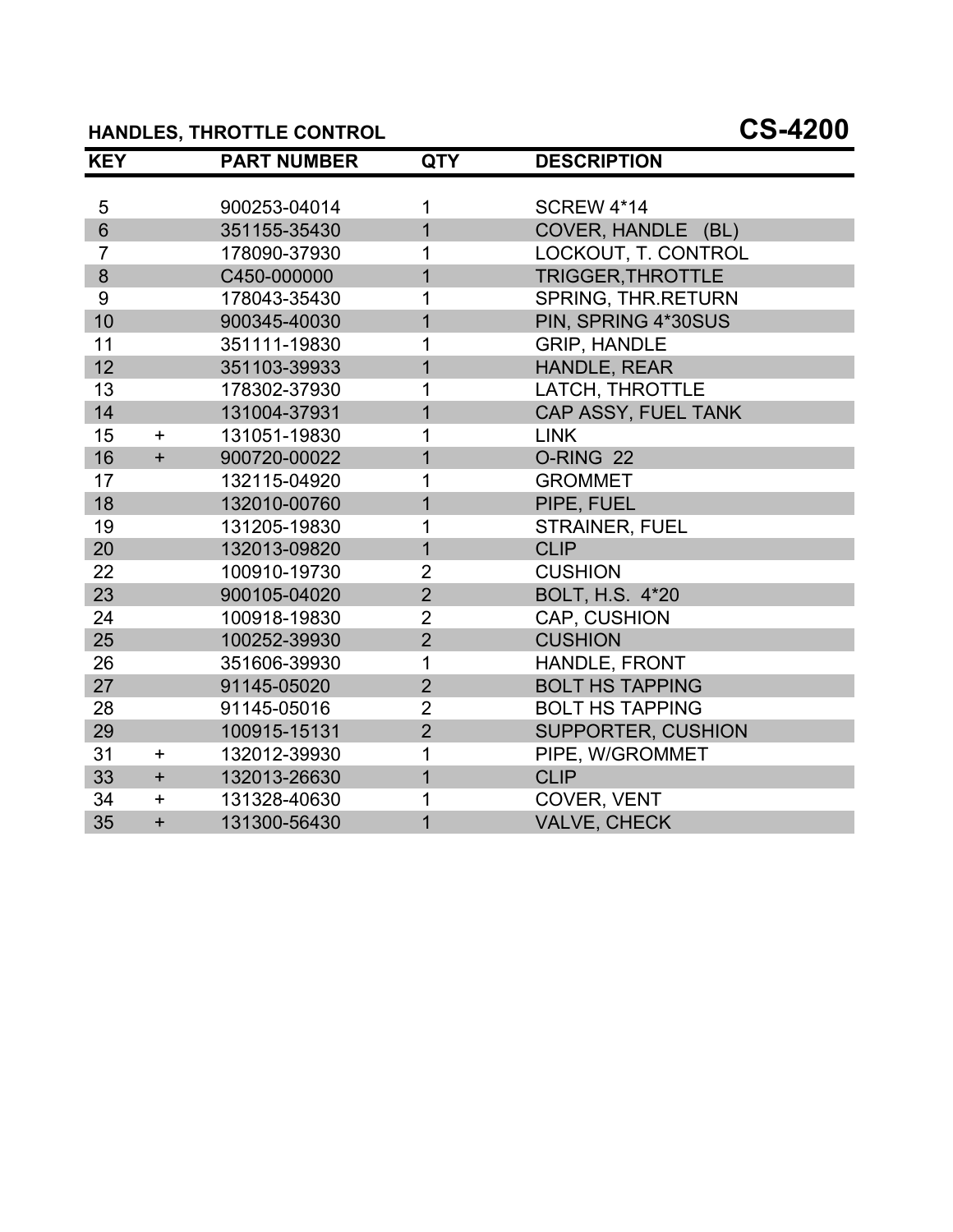# **HANDLES, THROTTLE CONTROL CS-4200**

| <b>KEY</b>      |           | <b>PART NUMBER</b> | <b>QTY</b>     | <b>DESCRIPTION</b>       |
|-----------------|-----------|--------------------|----------------|--------------------------|
|                 |           |                    |                |                          |
| 5               |           | 900253-04014       | 1              | <b>SCREW 4*14</b>        |
| $6\overline{6}$ |           | 351155-35430       | $\overline{1}$ | COVER, HANDLE (BL)       |
| $\overline{7}$  |           | 178090-37930       | 1              | LOCKOUT, T. CONTROL      |
| 8               |           | C450-000000        | $\overline{1}$ | <b>TRIGGER, THROTTLE</b> |
| 9               |           | 178043-35430       | 1              | SPRING, THR.RETURN       |
| 10              |           | 900345-40030       | $\overline{1}$ | PIN, SPRING 4*30SUS      |
| 11              |           | 351111-19830       | 1              | <b>GRIP, HANDLE</b>      |
| 12              |           | 351103-39933       | $\overline{1}$ | HANDLE, REAR             |
| 13              |           | 178302-37930       | 1              | LATCH, THROTTLE          |
| 14              |           | 131004-37931       | $\overline{1}$ | CAP ASSY, FUEL TANK      |
| 15              | $\ddot{}$ | 131051-19830       | 1              | <b>LINK</b>              |
| 16              | $+$       | 900720-00022       | $\overline{1}$ | O-RING 22                |
| 17              |           | 132115-04920       | 1              | <b>GROMMET</b>           |
| 18              |           | 132010-00760       | $\overline{1}$ | PIPE, FUEL               |
| 19              |           | 131205-19830       | 1              | <b>STRAINER, FUEL</b>    |
| 20              |           | 132013-09820       | $\overline{1}$ | <b>CLIP</b>              |
| 22              |           | 100910-19730       | $\overline{2}$ | <b>CUSHION</b>           |
| 23              |           | 900105-04020       | $\overline{2}$ | BOLT, H.S. 4*20          |
| 24              |           | 100918-19830       | $\overline{2}$ | CAP, CUSHION             |
| 25              |           | 100252-39930       | $\overline{2}$ | <b>CUSHION</b>           |
| 26              |           | 351606-39930       | 1              | <b>HANDLE, FRONT</b>     |
| 27              |           | 91145-05020        | $\overline{2}$ | <b>BOLT HS TAPPING</b>   |
| 28              |           | 91145-05016        | $\overline{2}$ | <b>BOLT HS TAPPING</b>   |
| 29              |           | 100915-15131       | $\overline{2}$ | SUPPORTER, CUSHION       |
| 31              | $\ddot{}$ | 132012-39930       | 1              | PIPE, W/GROMMET          |
| 33              | $+$       | 132013-26630       | $\mathbf{1}$   | <b>CLIP</b>              |
| 34              | $+$       | 131328-40630       | 1              | COVER, VENT              |
| 35              | $\ddot{}$ | 131300-56430       | $\overline{1}$ | <b>VALVE, CHECK</b>      |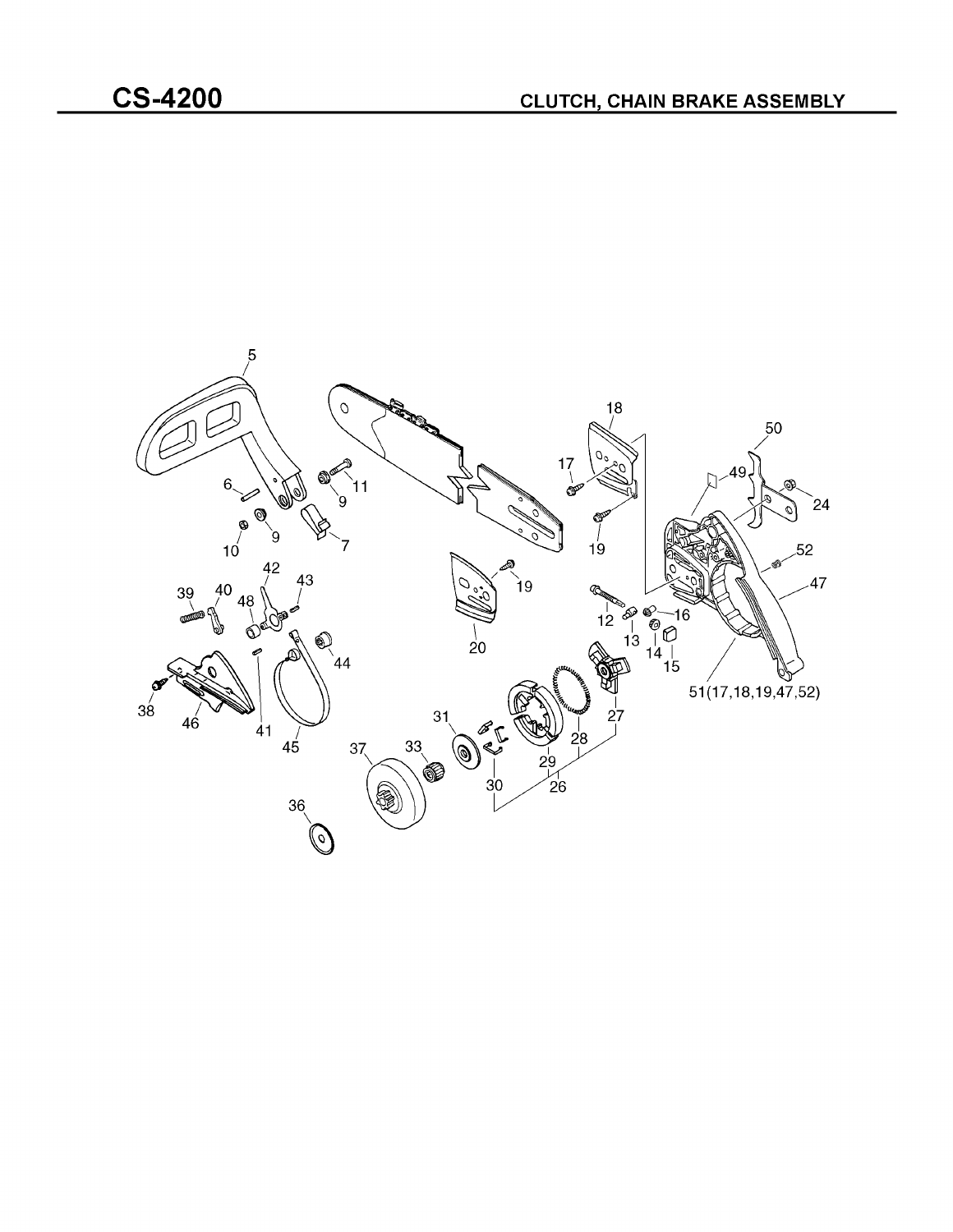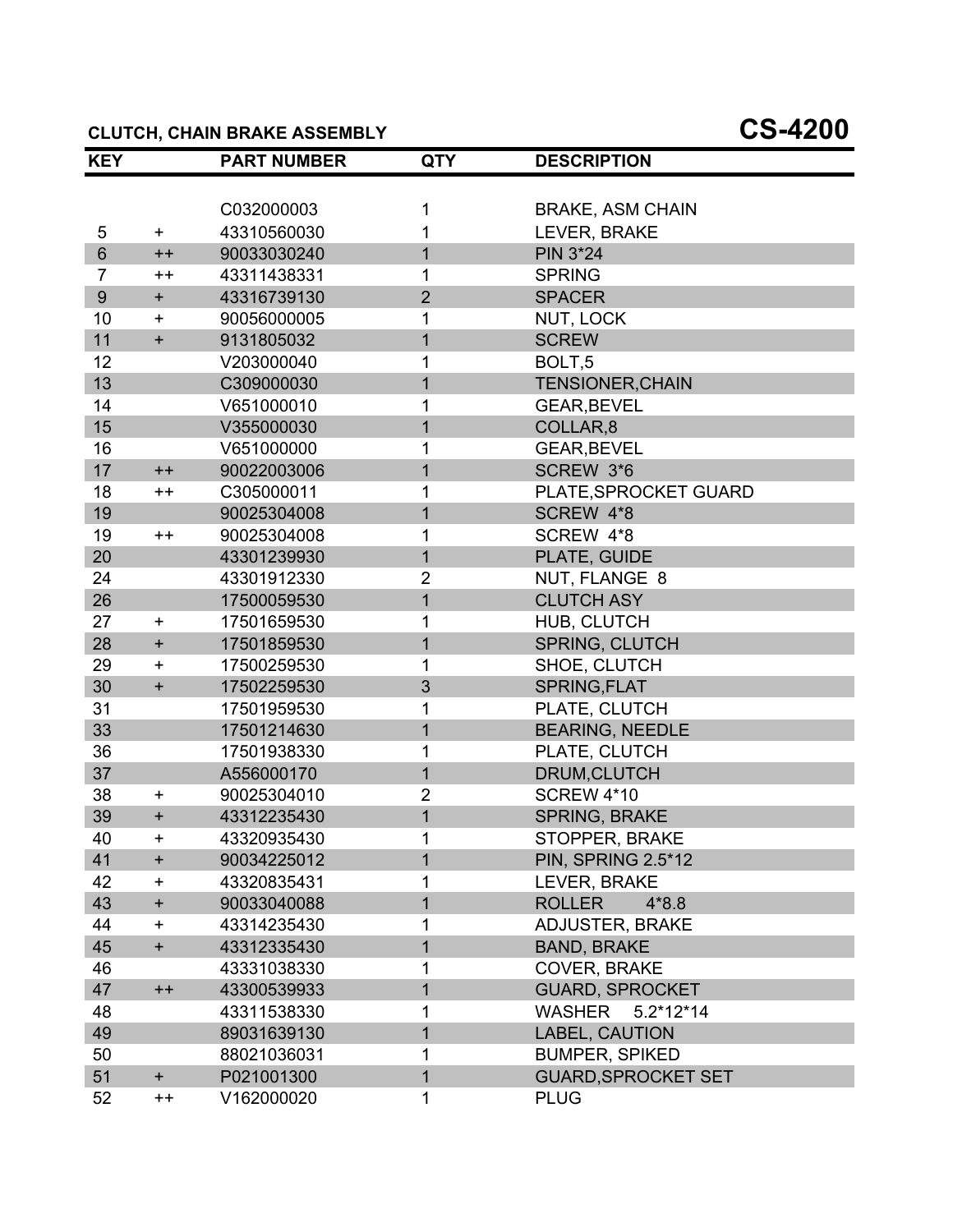#### **CLUTCH, CHAIN BRAKE ASSEMBLY CS-4200**

| <b>KEY</b>     |                                  | <b>PART NUMBER</b> | <b>QTY</b>     | <b>DESCRIPTION</b>         |  |
|----------------|----------------------------------|--------------------|----------------|----------------------------|--|
|                |                                  |                    |                |                            |  |
|                |                                  | C032000003         | 1              | <b>BRAKE, ASM CHAIN</b>    |  |
| 5              | $+$                              | 43310560030        |                | LEVER, BRAKE               |  |
| $6\phantom{a}$ | $++$                             | 90033030240        | $\overline{1}$ | <b>PIN 3*24</b>            |  |
| $\overline{7}$ | $++$                             | 43311438331        | 1              | <b>SPRING</b>              |  |
| $9\,$          | $+$                              | 43316739130        | $\overline{2}$ | <b>SPACER</b>              |  |
| 10             | +                                | 90056000005        | 1              | NUT, LOCK                  |  |
| 11             | $\ddot{}$                        | 9131805032         | $\mathbf{1}$   | <b>SCREW</b>               |  |
| 12             |                                  | V203000040         | 1              | BOLT <sub>,5</sub>         |  |
| 13             |                                  | C309000030         | $\mathbf{1}$   | <b>TENSIONER, CHAIN</b>    |  |
| 14             |                                  | V651000010         | 1              | <b>GEAR, BEVEL</b>         |  |
| 15             |                                  | V355000030         | 1              | COLLAR,8                   |  |
| 16             |                                  | V651000000         | 1              | <b>GEAR, BEVEL</b>         |  |
| 17             | $++$                             | 90022003006        | 1              | SCREW 3*6                  |  |
| 18             | $++$                             | C305000011         | 1              | PLATE, SPROCKET GUARD      |  |
| 19             |                                  | 90025304008        | $\overline{1}$ | SCREW 4*8                  |  |
| 19             | $++$                             | 90025304008        | 1              | SCREW 4*8                  |  |
| 20             |                                  | 43301239930        | $\mathbf{1}$   | PLATE, GUIDE               |  |
| 24             |                                  | 43301912330        | 2              | NUT, FLANGE 8              |  |
| 26             |                                  | 17500059530        | $\overline{1}$ | <b>CLUTCH ASY</b>          |  |
| 27             | $\ddot{}$                        | 17501659530        | 1              | HUB, CLUTCH                |  |
| 28             | $\begin{array}{c} + \end{array}$ | 17501859530        | $\mathbf{1}$   | <b>SPRING, CLUTCH</b>      |  |
| 29             | $\ddot{}$                        | 17500259530        | 1              | SHOE, CLUTCH               |  |
| 30             | $\ddot{}$                        | 17502259530        | 3              | SPRING, FLAT               |  |
| 31             |                                  | 17501959530        | 1              | PLATE, CLUTCH              |  |
| 33             |                                  | 17501214630        | $\overline{1}$ | <b>BEARING, NEEDLE</b>     |  |
| 36             |                                  | 17501938330        | 1              | PLATE, CLUTCH              |  |
| 37             |                                  | A556000170         | 1              | DRUM, CLUTCH               |  |
| 38             | $\ddot{}$                        | 90025304010        | $\overline{2}$ | <b>SCREW 4*10</b>          |  |
| 39             | $\ddot{}$                        | 43312235430        | $\overline{1}$ | <b>SPRING, BRAKE</b>       |  |
| 40             | $\ddot{}$                        | 43320935430        | 1              | <b>STOPPER, BRAKE</b>      |  |
| 41             | $\ddot{}$                        | 90034225012        | 1              | <b>PIN, SPRING 2.5*12</b>  |  |
| 42             | $\pm$                            | 43320835431        |                | LEVER, BRAKE               |  |
| 43             | $\ddot{}$                        | 90033040088        | 1              | <b>ROLLER</b><br>$4*8.8$   |  |
| 44             | +                                | 43314235430        | 1              | <b>ADJUSTER, BRAKE</b>     |  |
| 45             | $\begin{array}{c} + \end{array}$ | 43312335430        | 1              | <b>BAND, BRAKE</b>         |  |
| 46             |                                  | 43331038330        | 1              | COVER, BRAKE               |  |
| 47             | $++$                             | 43300539933        | $\mathbf{1}$   | <b>GUARD, SPROCKET</b>     |  |
| 48             |                                  | 43311538330        | 1              | WASHER<br>$5.2*12*14$      |  |
| 49             |                                  | 89031639130        | 1              | <b>LABEL, CAUTION</b>      |  |
| 50             |                                  | 88021036031        | 1              | <b>BUMPER, SPIKED</b>      |  |
| 51             | $+$                              | P021001300         | 1              | <b>GUARD, SPROCKET SET</b> |  |
| 52             | $++$                             | V162000020         | 1              | <b>PLUG</b>                |  |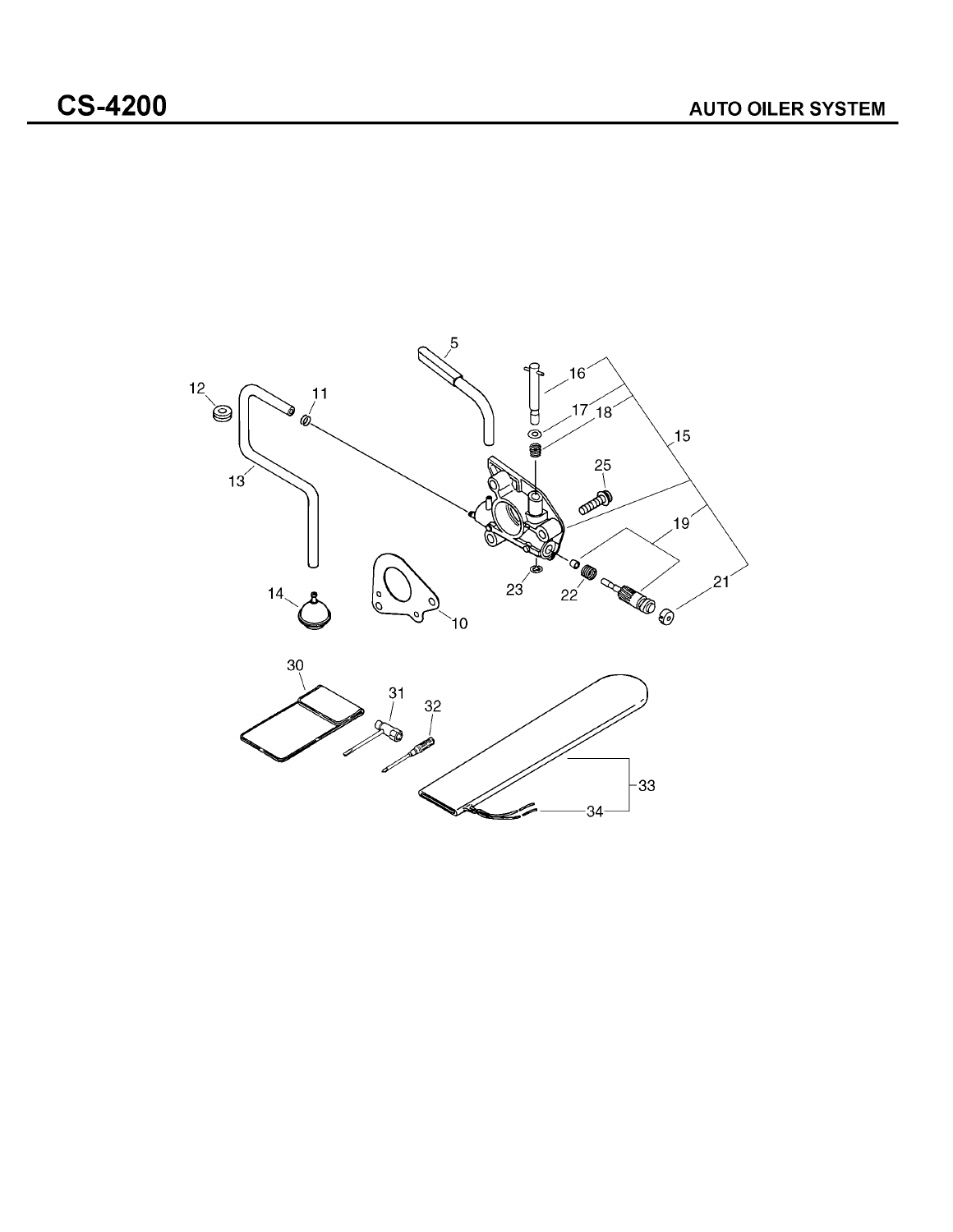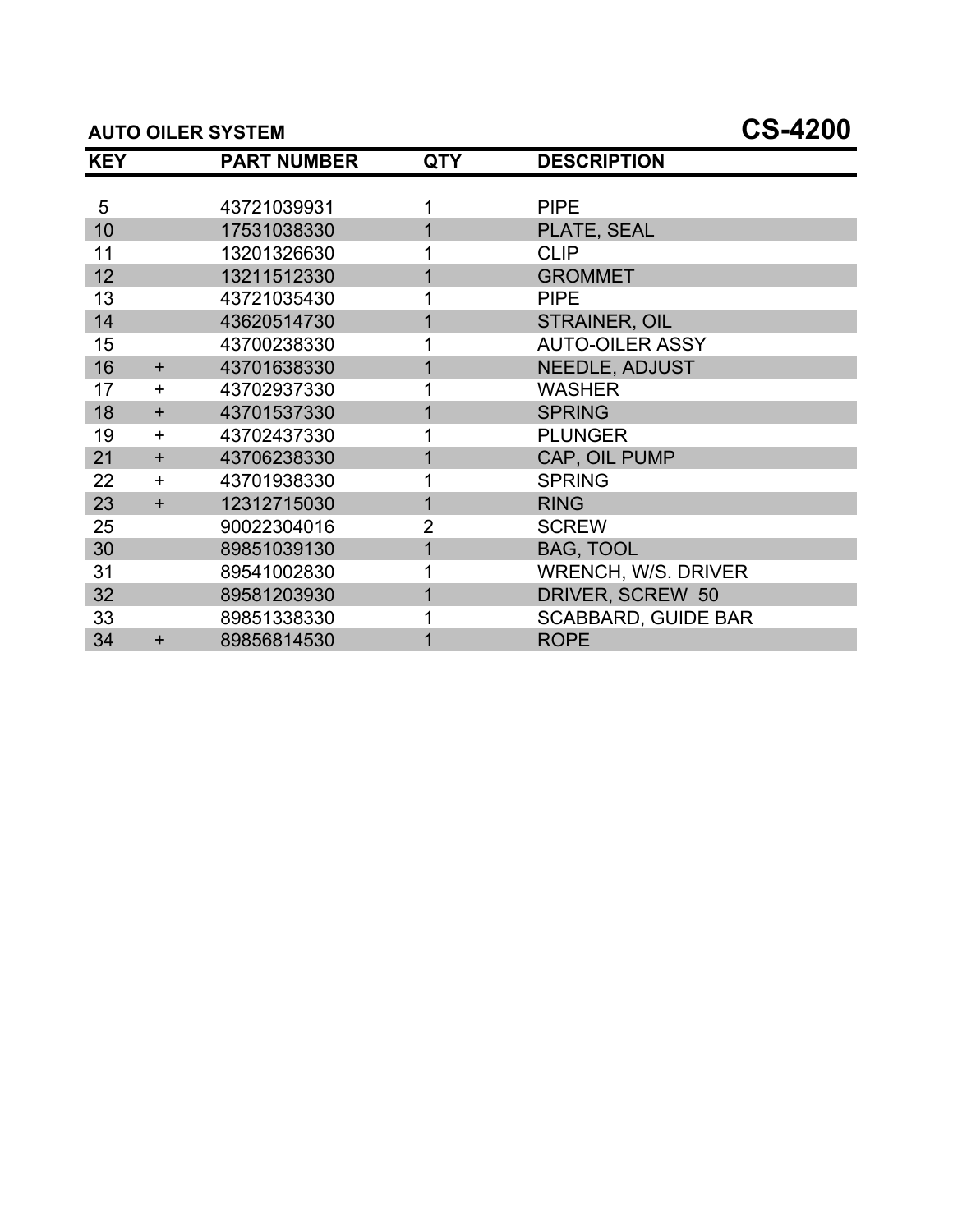#### **AUTO OILER SYSTEM CS-4200**

| <b>KEY</b> |           | <b>PART NUMBER</b> | <b>QTY</b>     | <b>DESCRIPTION</b>         |
|------------|-----------|--------------------|----------------|----------------------------|
|            |           |                    |                |                            |
| 5          |           | 43721039931        |                | <b>PIPE</b>                |
| 10         |           | 17531038330        |                | PLATE, SEAL                |
| 11         |           | 13201326630        |                | <b>CLIP</b>                |
| 12         |           | 13211512330        |                | <b>GROMMET</b>             |
| 13         |           | 43721035430        |                | <b>PIPE</b>                |
| 14         |           | 43620514730        |                | <b>STRAINER, OIL</b>       |
| 15         |           | 43700238330        |                | <b>AUTO-OILER ASSY</b>     |
| 16         | $\ddot{}$ | 43701638330        |                | <b>NEEDLE, ADJUST</b>      |
| 17         | $\ddot{}$ | 43702937330        |                | <b>WASHER</b>              |
| 18         | $\ddot{}$ | 43701537330        |                | <b>SPRING</b>              |
| 19         | $\ddot{}$ | 43702437330        |                | <b>PLUNGER</b>             |
| 21         | $+$       | 43706238330        |                | CAP, OIL PUMP              |
| 22         | $\ddot{}$ | 43701938330        |                | <b>SPRING</b>              |
| 23         | $+$       | 12312715030        |                | <b>RING</b>                |
| 25         |           | 90022304016        | $\overline{2}$ | <b>SCREW</b>               |
| 30         |           | 89851039130        |                | <b>BAG, TOOL</b>           |
| 31         |           | 89541002830        |                | <b>WRENCH, W/S. DRIVER</b> |
| 32         |           | 89581203930        |                | DRIVER, SCREW 50           |
| 33         |           | 89851338330        |                | <b>SCABBARD, GUIDE BAR</b> |
| 34         | $\ddot{}$ | 89856814530        |                | <b>ROPE</b>                |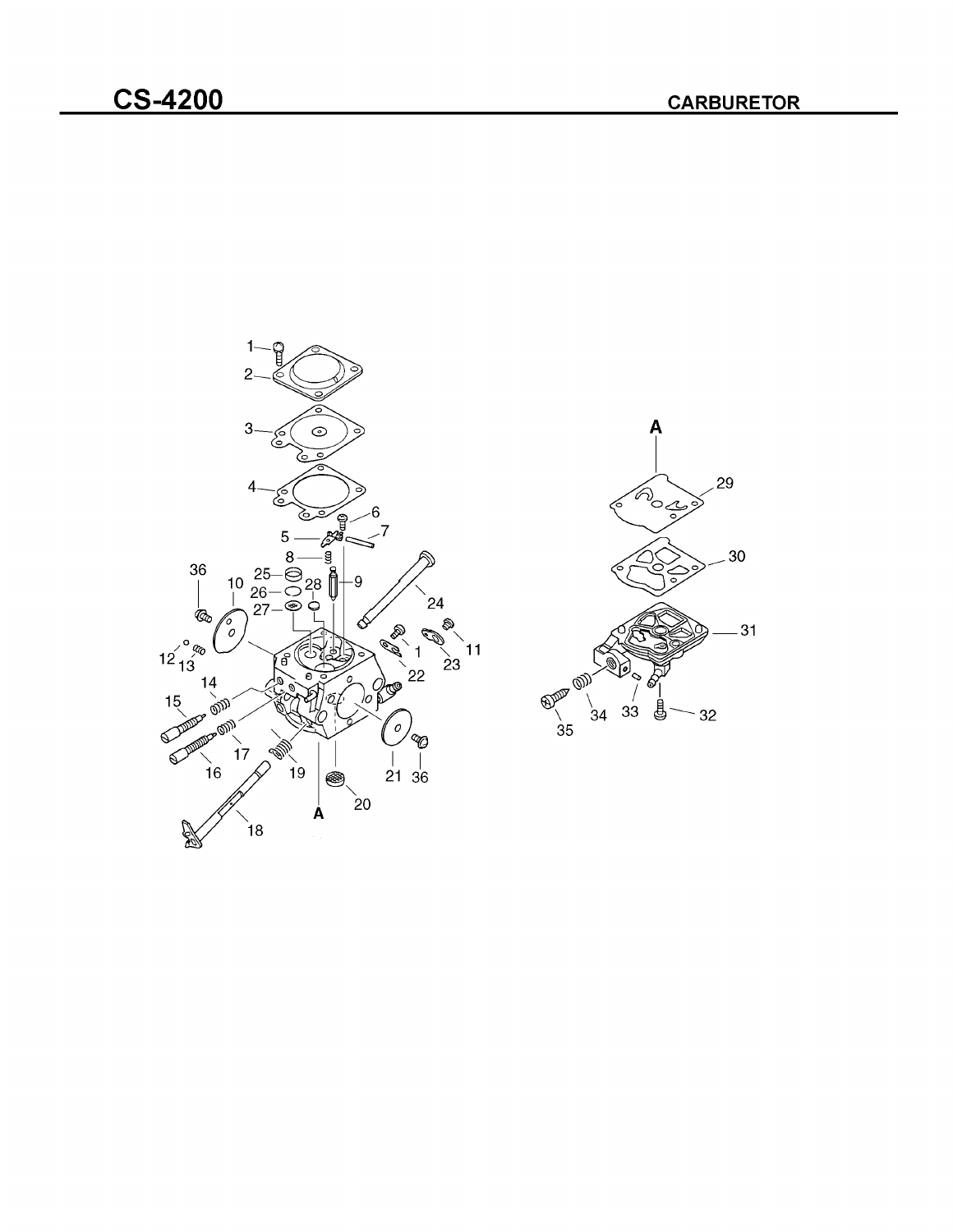

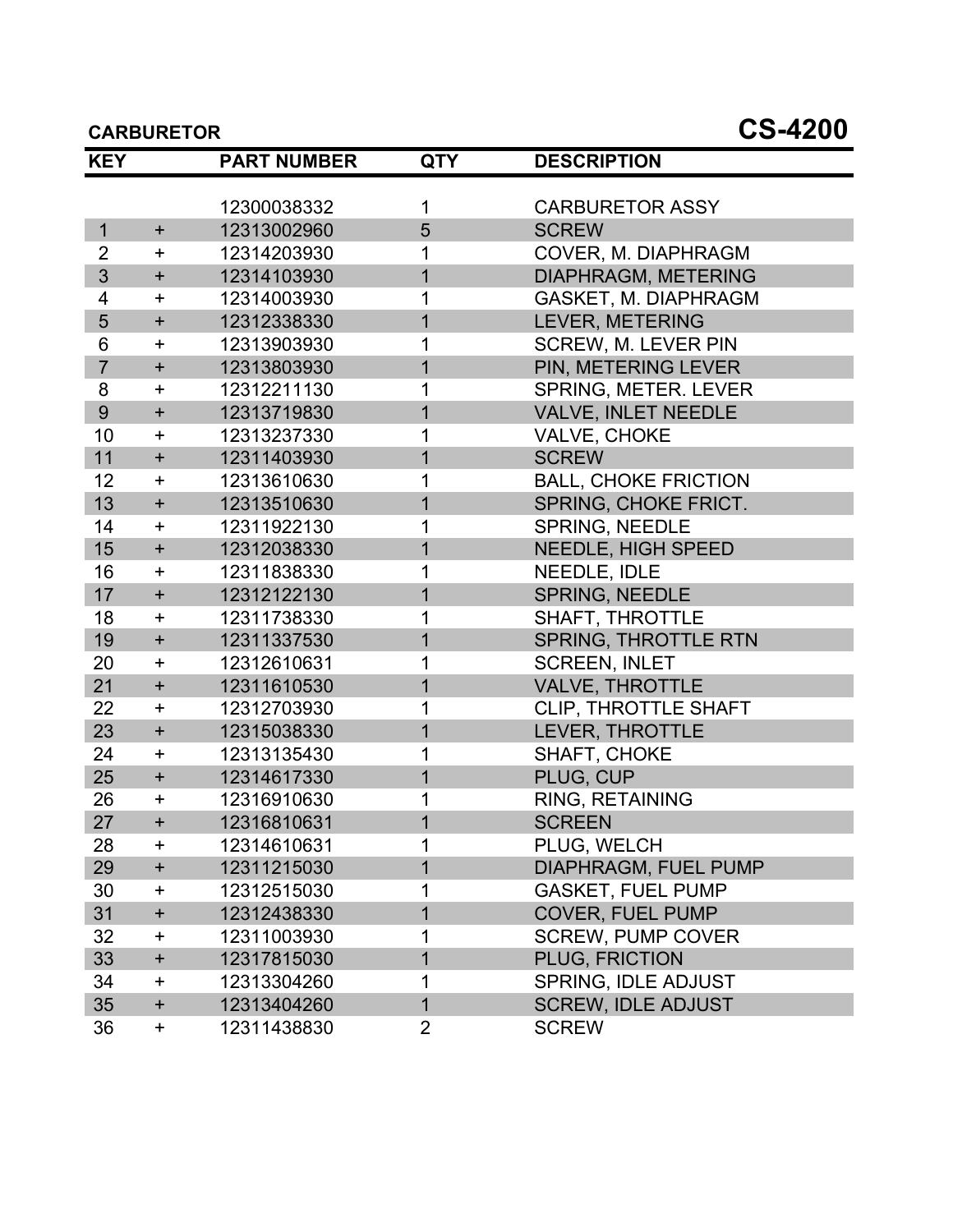| <b>KEY</b>     |             | <b>PART NUMBER</b> | <b>QTY</b>     | <b>DESCRIPTION</b>          |
|----------------|-------------|--------------------|----------------|-----------------------------|
|                |             |                    |                |                             |
|                |             | 12300038332        | 1              | <b>CARBURETOR ASSY</b>      |
| $\mathbf{1}$   | $\ddot{}$   | 12313002960        | 5              | <b>SCREW</b>                |
| $\overline{2}$ | $\pm$       | 12314203930        | 1              | COVER, M. DIAPHRAGM         |
| 3              | $\ddot{}$   | 12314103930        | $\overline{1}$ | DIAPHRAGM, METERING         |
| 4              | $\pm$       | 12314003930        | 1              | <b>GASKET, M. DIAPHRAGM</b> |
| 5              | $\ddot{}$   | 12312338330        | $\overline{1}$ | LEVER, METERING             |
| 6              | $\ddot{}$   | 12313903930        | 1              | <b>SCREW, M. LEVER PIN</b>  |
| $\overline{7}$ | $+$         | 12313803930        | 1              | PIN, METERING LEVER         |
| 8              | $\ddag$     | 12312211130        |                | SPRING, METER. LEVER        |
| 9              | $\ddot{}$   | 12313719830        | 1              | VALVE, INLET NEEDLE         |
| 10             | $\ddot{}$   | 12313237330        | 1              | VALVE, CHOKE                |
| 11             | $+$         | 12311403930        | 1              | <b>SCREW</b>                |
| 12             | $\pm$       | 12313610630        | 1              | <b>BALL, CHOKE FRICTION</b> |
| 13             | $+$         | 12313510630        | $\overline{1}$ | SPRING, CHOKE FRICT.        |
| 14             | $\ddot{}$   | 12311922130        | 1              | <b>SPRING, NEEDLE</b>       |
| 15             | $+$         | 12312038330        | 1              | <b>NEEDLE, HIGH SPEED</b>   |
| 16             | $\pm$       | 12311838330        | 1              | NEEDLE, IDLE                |
| 17             | $+$         | 12312122130        | $\overline{1}$ | <b>SPRING, NEEDLE</b>       |
| 18             | $\ddot{}$   | 12311738330        | 1              | <b>SHAFT, THROTTLE</b>      |
| 19             | $+$         | 12311337530        | $\overline{1}$ | <b>SPRING, THROTTLE RTN</b> |
| 20             | $+$         | 12312610631        | 1              | <b>SCREEN, INLET</b>        |
| 21             | $\ddot{}$   | 12311610530        | $\overline{1}$ | <b>VALVE, THROTTLE</b>      |
| 22             | $\ddot{}$   | 12312703930        | 1              | CLIP, THROTTLE SHAFT        |
| 23             | $+$         | 12315038330        | 1              | LEVER, THROTTLE             |
| 24             | $\pm$       | 12313135430        |                | SHAFT, CHOKE                |
| 25             | $+$         | 12314617330        | 1              | PLUG, CUP                   |
| 26             | $\ddot{}$   | 12316910630        | 1              | RING, RETAINING             |
| 27             | $\ddagger$  | 12316810631        | 1              | <b>SCREEN</b>               |
| 28             | <b>+</b>    | 12314610631        | 1              | PLUG, WELCH                 |
| 29             | $\ddot{}$   | 12311215030        | 1              | <b>DIAPHRAGM, FUEL PUMP</b> |
| 30             | +           | 12312515030        | 1              | <b>GASKET, FUEL PUMP</b>    |
| 31             | $\ddagger$  | 12312438330        | 1              | <b>COVER, FUEL PUMP</b>     |
| 32             | +           | 12311003930        |                | <b>SCREW, PUMP COVER</b>    |
| 33             | $\ddag$     | 12317815030        | 1              | PLUG, FRICTION              |
| 34             | +           | 12313304260        |                | <b>SPRING, IDLE ADJUST</b>  |
| 35             | $\mathbf +$ | 12313404260        | $\overline{1}$ | <b>SCREW, IDLE ADJUST</b>   |
| 36             | +           | 12311438830        | 2              | <b>SCREW</b>                |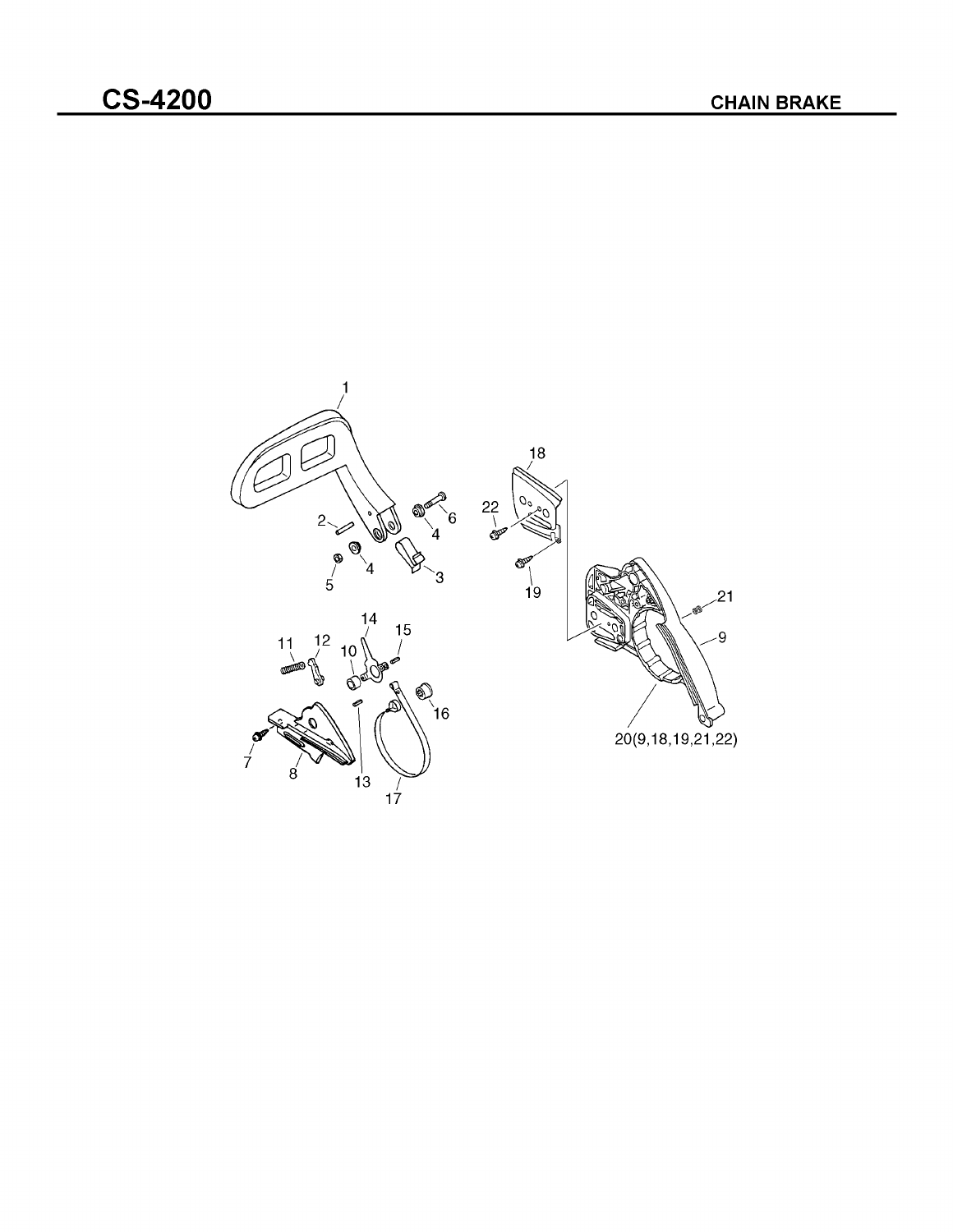